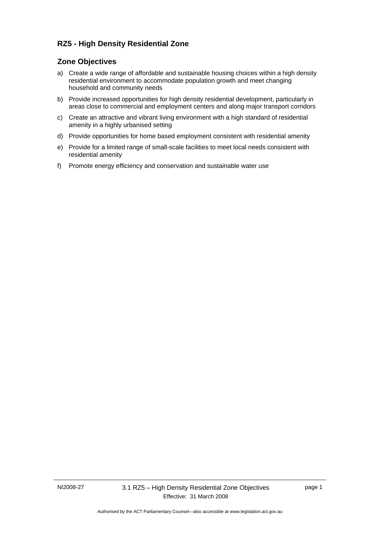## **RZ5 - High Density Residential Zone**

## **Zone Objectives**

- a) Create a wide range of affordable and sustainable housing choices within a high density residential environment to accommodate population growth and meet changing household and community needs
- b) Provide increased opportunities for high density residential development, particularly in areas close to commercial and employment centers and along major transport corridors
- c) Create an attractive and vibrant living environment with a high standard of residential amenity in a highly urbanised setting
- d) Provide opportunities for home based employment consistent with residential amenity
- e) Provide for a limited range of small-scale facilities to meet local needs consistent with residential amenity
- f) Promote energy efficiency and conservation and sustainable water use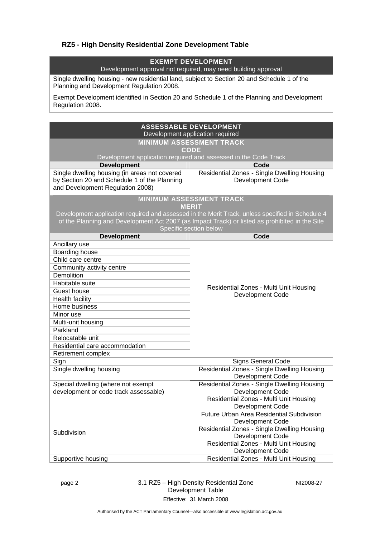## **RZ5 - High Density Residential Zone Development Table**

## **EXEMPT DEVELOPMENT**

Development approval not required, may need building approval

Single dwelling housing - new residential land, subject to Section 20 and Schedule 1 of the Planning and Development Regulation 2008.

Exempt Development identified in Section 20 and Schedule 1 of the Planning and Development Regulation 2008.

| <b>ASSESSABLE DEVELOPMENT</b><br>Development application required                                                                                                                                                                                                               |                                                                        |  |  |
|---------------------------------------------------------------------------------------------------------------------------------------------------------------------------------------------------------------------------------------------------------------------------------|------------------------------------------------------------------------|--|--|
| <b>MINIMUM ASSESSMENT TRACK</b>                                                                                                                                                                                                                                                 |                                                                        |  |  |
|                                                                                                                                                                                                                                                                                 | <b>CODE</b>                                                            |  |  |
|                                                                                                                                                                                                                                                                                 | Development application required and assessed in the Code Track        |  |  |
| <b>Development</b>                                                                                                                                                                                                                                                              | Code                                                                   |  |  |
| Single dwelling housing (in areas not covered<br>by Section 20 and Schedule 1 of the Planning<br>and Development Regulation 2008)                                                                                                                                               | Residential Zones - Single Dwelling Housing<br><b>Development Code</b> |  |  |
| <b>MINIMUM ASSESSMENT TRACK</b><br><b>MERIT</b><br>Development application required and assessed in the Merit Track, unless specified in Schedule 4<br>of the Planning and Development Act 2007 (as Impact Track) or listed as prohibited in the Site<br>Specific section below |                                                                        |  |  |
| <b>Development</b>                                                                                                                                                                                                                                                              | Code                                                                   |  |  |
| Ancillary use                                                                                                                                                                                                                                                                   |                                                                        |  |  |
| Boarding house                                                                                                                                                                                                                                                                  |                                                                        |  |  |
| Child care centre                                                                                                                                                                                                                                                               |                                                                        |  |  |
| Community activity centre                                                                                                                                                                                                                                                       |                                                                        |  |  |
| <b>Demolition</b>                                                                                                                                                                                                                                                               |                                                                        |  |  |
| Habitable suite                                                                                                                                                                                                                                                                 | Residential Zones - Multi Unit Housing                                 |  |  |
| Guest house                                                                                                                                                                                                                                                                     | <b>Development Code</b>                                                |  |  |
| Health facility                                                                                                                                                                                                                                                                 |                                                                        |  |  |
| Home business                                                                                                                                                                                                                                                                   |                                                                        |  |  |
| Minor use                                                                                                                                                                                                                                                                       |                                                                        |  |  |
| Multi-unit housing                                                                                                                                                                                                                                                              |                                                                        |  |  |
| Parkland                                                                                                                                                                                                                                                                        |                                                                        |  |  |
| Relocatable unit                                                                                                                                                                                                                                                                |                                                                        |  |  |
| Residential care accommodation                                                                                                                                                                                                                                                  |                                                                        |  |  |
| Retirement complex                                                                                                                                                                                                                                                              |                                                                        |  |  |
| Sign                                                                                                                                                                                                                                                                            | <b>Signs General Code</b>                                              |  |  |
| Single dwelling housing                                                                                                                                                                                                                                                         | Residential Zones - Single Dwelling Housing<br><b>Development Code</b> |  |  |
| Special dwelling (where not exempt                                                                                                                                                                                                                                              | Residential Zones - Single Dwelling Housing                            |  |  |
| development or code track assessable)                                                                                                                                                                                                                                           | Development Code                                                       |  |  |
|                                                                                                                                                                                                                                                                                 | Residential Zones - Multi Unit Housing                                 |  |  |
|                                                                                                                                                                                                                                                                                 | <b>Development Code</b>                                                |  |  |
|                                                                                                                                                                                                                                                                                 | <b>Future Urban Area Residential Subdivision</b>                       |  |  |
| Subdivision                                                                                                                                                                                                                                                                     | Development Code                                                       |  |  |
|                                                                                                                                                                                                                                                                                 | Residential Zones - Single Dwelling Housing                            |  |  |
|                                                                                                                                                                                                                                                                                 | Development Code                                                       |  |  |
|                                                                                                                                                                                                                                                                                 | Residential Zones - Multi Unit Housing                                 |  |  |
|                                                                                                                                                                                                                                                                                 | <b>Development Code</b>                                                |  |  |
| Supportive housing                                                                                                                                                                                                                                                              | Residential Zones - Multi Unit Housing                                 |  |  |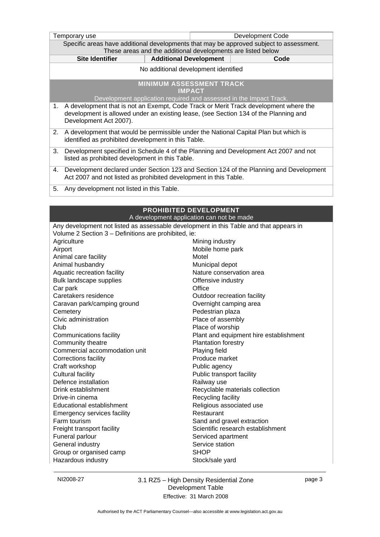| Temporary use                                                                                                                                                                                                | Development Code                                                                       |  |  |
|--------------------------------------------------------------------------------------------------------------------------------------------------------------------------------------------------------------|----------------------------------------------------------------------------------------|--|--|
| Specific areas have additional developments that may be approved subject to assessment.<br>These areas and the additional developments are listed below                                                      |                                                                                        |  |  |
| <b>Site Identifier</b>                                                                                                                                                                                       | <b>Additional Development</b><br>Code                                                  |  |  |
|                                                                                                                                                                                                              | No additional development identified                                                   |  |  |
| <b>MINIMUM ASSESSMENT TRACK</b><br><b>IMPACT</b><br>Development application required and assessed in the Impact Track.                                                                                       |                                                                                        |  |  |
| A development that is not an Exempt, Code Track or Merit Track development where the<br>1.<br>development is allowed under an existing lease, (see Section 134 of the Planning and<br>Development Act 2007). |                                                                                        |  |  |
| A development that would be permissible under the National Capital Plan but which is<br>2.<br>identified as prohibited development in this Table.                                                            |                                                                                        |  |  |
| Development specified in Schedule 4 of the Planning and Development Act 2007 and not<br>3.<br>listed as prohibited development in this Table.                                                                |                                                                                        |  |  |
| Development declared under Section 123 and Section 124 of the Planning and Development<br>4.<br>Act 2007 and not listed as prohibited development in this Table.                                             |                                                                                        |  |  |
| Any development not listed in this Table.<br>5.                                                                                                                                                              |                                                                                        |  |  |
|                                                                                                                                                                                                              |                                                                                        |  |  |
| PROHIBITED DEVELOPMENT<br>A development application can not be made                                                                                                                                          |                                                                                        |  |  |
|                                                                                                                                                                                                              | Any development not listed as assessable development in this Table and that appears in |  |  |
| Volume 2 Section 3 - Definitions are prohibited, ie:                                                                                                                                                         |                                                                                        |  |  |
| Agriculture                                                                                                                                                                                                  | Mining industry                                                                        |  |  |
| Airport                                                                                                                                                                                                      | Mobile home park                                                                       |  |  |
| Animal care facility                                                                                                                                                                                         | Motel                                                                                  |  |  |
| Animal husbandry                                                                                                                                                                                             | Municipal depot                                                                        |  |  |
| Aquatic recreation facility                                                                                                                                                                                  | Nature conservation area                                                               |  |  |
| Bulk landscape supplies                                                                                                                                                                                      | Offensive industry                                                                     |  |  |
| Car park                                                                                                                                                                                                     | Office                                                                                 |  |  |
| Caretakers residence                                                                                                                                                                                         | Outdoor recreation facility                                                            |  |  |
| Caravan park/camping ground                                                                                                                                                                                  | Overnight camping area                                                                 |  |  |
| Cemetery                                                                                                                                                                                                     | Pedestrian plaza                                                                       |  |  |
| Civic administration                                                                                                                                                                                         | Place of assembly                                                                      |  |  |
| Club                                                                                                                                                                                                         | Place of worship                                                                       |  |  |
| Communications facility                                                                                                                                                                                      | Plant and equipment hire establishment                                                 |  |  |
| Community theatre                                                                                                                                                                                            | <b>Plantation forestry</b>                                                             |  |  |
| Commercial accommodation unit                                                                                                                                                                                | Playing field                                                                          |  |  |
| Corrections facility                                                                                                                                                                                         | Produce market                                                                         |  |  |
| Craft workshop                                                                                                                                                                                               | Public agency                                                                          |  |  |
| <b>Cultural facility</b>                                                                                                                                                                                     | Public transport facility                                                              |  |  |
| Defence installation                                                                                                                                                                                         | Railway use                                                                            |  |  |
| Drink establishment                                                                                                                                                                                          | Recyclable materials collection                                                        |  |  |
| Drive-in cinema                                                                                                                                                                                              | Recycling facility                                                                     |  |  |
| Educational establishment                                                                                                                                                                                    | Religious associated use                                                               |  |  |

General industry<br>
Group or organised camp<br>
Group SHOP<br>
SHOP Group or organised camp Hazardous industry **Stock/sale yard** Stock/sale yard

Emergency services facility **Restaurant** 

Farm tourism **Farm tourism** Sand and gravel extraction Freight transport facility **Scientific research establishment** 

Funeral parlour Serviced apartment

NI2008-27 3.1 RZ5 – High Density Residential Zone Development Table Effective: 31 March 2008